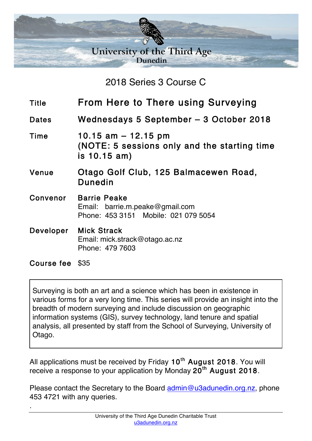

2018 Series 3 Course C

- Title From Here to There using Surveying
- Dates Wednesdays 5 September 3 October 2018

Time 10.15 am – 12.15 pm (NOTE: 5 sessions only and the starting time is 10.15 am)

- Venue Otago Golf Club, 125 Balmacewen Road, Dunedin
- Convenor Barrie Peake Email: barrie.m.peake@gmail.com Phone: 453 3151 Mobile: 021 079 5054
- Developer Mick Strack Email: mick.strack@otago.ac.nz Phone: 479 7603

Course fee \$35

.

Surveying is both an art and a science which has been in existence in various forms for a very long time. This series will provide an insight into the breadth of modern surveying and include discussion on geographic information systems (GIS), survey technology, land tenure and spatial analysis, all presented by staff from the School of Surveying, University of Otago.

All applications must be received by Friday  $10<sup>th</sup>$  August 2018. You will receive a response to your application by Monday  $20<sup>th</sup>$  August 2018.

Please contact the Secretary to the Board admin@u3adunedin.org.nz, phone 453 4721 with any queries.